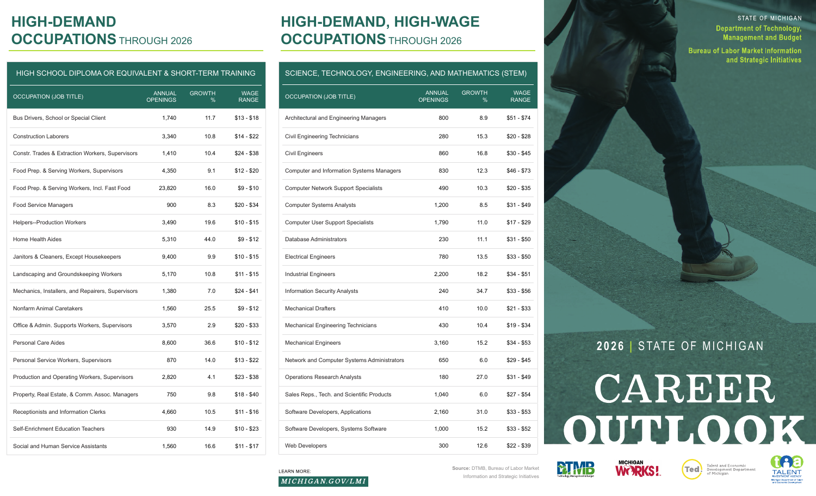### **HIGH-DEMAND OCCUPATIONS** THROUGH 2026

#### HIGH SCHOOL DIPLOMA OR EQUIVALENT & SHORT-TERM TRAINING

| <b>OCCUPATION (JOB TITLE)</b>                     | <b>ANNUAL</b><br><b>OPENINGS</b> | <b>GROWTH</b><br>% | <b>WAGE</b><br><b>RANGE</b> |
|---------------------------------------------------|----------------------------------|--------------------|-----------------------------|
| Bus Drivers, School or Special Client             | 1,740                            | 11.7               | $$13 - $18$                 |
| <b>Construction Laborers</b>                      | 3,340                            | 10.8               | $$14 - $22$                 |
| Constr. Trades & Extraction Workers, Supervisors  | 1,410                            | 10.4               | $$24 - $38$                 |
| Food Prep. & Serving Workers, Supervisors         | 4,350                            | 9.1                | $$12 - $20$                 |
| Food Prep. & Serving Workers, Incl. Fast Food     | 23,820                           | 16.0               | $$9 - $10$                  |
| <b>Food Service Managers</b>                      | 900                              | 8.3                | \$20 - \$34                 |
| <b>Helpers--Production Workers</b>                | 3,490                            | 19.6               | $$10 - $15$                 |
| <b>Home Health Aides</b>                          | 5,310                            | 44.0               | $$9 - $12$                  |
| Janitors & Cleaners, Except Housekeepers          | 9,400                            | 9.9                | $$10 - $15$                 |
| Landscaping and Groundskeeping Workers            | 5,170                            | 10.8               | $$11 - $15$                 |
| Mechanics, Installers, and Repairers, Supervisors | 1,380                            | 7.0                | $$24 - $41$                 |
| Nonfarm Animal Caretakers                         | 1,560                            | 25.5               | $$9 - $12$                  |
| Office & Admin. Supports Workers, Supervisors     | 3,570                            | 2.9                | \$20 - \$33                 |
| Personal Care Aides                               | 8,600                            | 36.6               | $$10 - $12$                 |
| Personal Service Workers, Supervisors             | 870                              | 14.0               | \$13 - \$22                 |
| Production and Operating Workers, Supervisors     | 2,820                            | 4.1                | \$23 - \$38                 |
| Property, Real Estate, & Comm. Assoc. Managers    | 750                              | 9.8                | $$18 - $40$                 |
| Receptionists and Information Clerks              | 4,660                            | 10.5               | $$11 - $16$                 |
| Self-Enrichment Education Teachers                | 930                              | 14.9               | $$10 - $23$                 |
| Social and Human Service Assistants               | 1,560                            | 16.6               | $$11 - $17$                 |

## **HIGH-DEMAND, HIGH-WAGE OCCUPATIONS** THROUGH 2026

#### SCIENCE, TECHNOLOGY, ENGINEERING, AND MATHEMATICS (STEM)

| <b>OCCUPATION (JOB TITLE)</b>                    | <b>ANNUAL</b><br><b>OPENINGS</b> | <b>GROWTH</b><br>% | <b>WAGE</b><br><b>RANGE</b> |
|--------------------------------------------------|----------------------------------|--------------------|-----------------------------|
| Architectural and Engineering Managers           | 800                              | 8.9                | \$51 - \$74                 |
| Civil Engineering Technicians                    | 280                              | 15.3               | \$20 - \$28                 |
| <b>Civil Engineers</b>                           | 860                              | 16.8               | \$30 - \$45                 |
| <b>Computer and Information Systems Managers</b> | 830                              | 12.3               | \$46 - \$73                 |
| <b>Computer Network Support Specialists</b>      | 490                              | 10.3               | \$20 - \$35                 |
| <b>Computer Systems Analysts</b>                 | 1,200                            | 8.5                | \$31 - \$49                 |
| <b>Computer User Support Specialists</b>         | 1,790                            | 11.0               | \$17 - \$29                 |
| Database Administrators                          | 230                              | 11.1               | \$31 - \$50                 |
| <b>Electrical Engineers</b>                      | 780                              | 13.5               | $$33 - $50$                 |
| <b>Industrial Engineers</b>                      | 2,200                            | 18.2               | $$34 - $51$                 |
| <b>Information Security Analysts</b>             | 240                              | 34.7               | \$33 - \$56                 |
| <b>Mechanical Drafters</b>                       | 410                              | 10.0               | $$21 - $33$                 |
| Mechanical Engineering Technicians               | 430                              | 10.4               | $$19 - $34$                 |
| <b>Mechanical Engineers</b>                      | 3,160                            | 15.2               | $$34 - $53$                 |
| Network and Computer Systems Administrators      | 650                              | 6.0                | $$29 - $45$                 |
| <b>Operations Research Analysts</b>              | 180                              | 27.0               | $$31 - $49$                 |
| Sales Reps., Tech. and Scientific Products       | 1,040                            | 6.0                | \$27 - \$54                 |
| Software Developers, Applications                | 2,160                            | 31.0               | $$33 - $53$                 |
| Software Developers, Systems Software            | 1,000                            | 15.2               | \$33 - \$52                 |
| <b>Web Developers</b>                            | 300                              | 12.6               | \$22 - \$39                 |

STATE OF MICHIGAN

and Strategic Initiatives

**Department of Technology, Management and Budget Bureau of Labor Market Information** 

## **2026 |** STATE OF MICHIGAN

# CAREER OUTLOOK









#### **LEARN MORE:**

**Source:** DTMB, Bureau of Labor Market **Source:** DTMB, Bureau of Labor Market Information and Strategic Initiatives

MICHIGAN.GOV/LMI